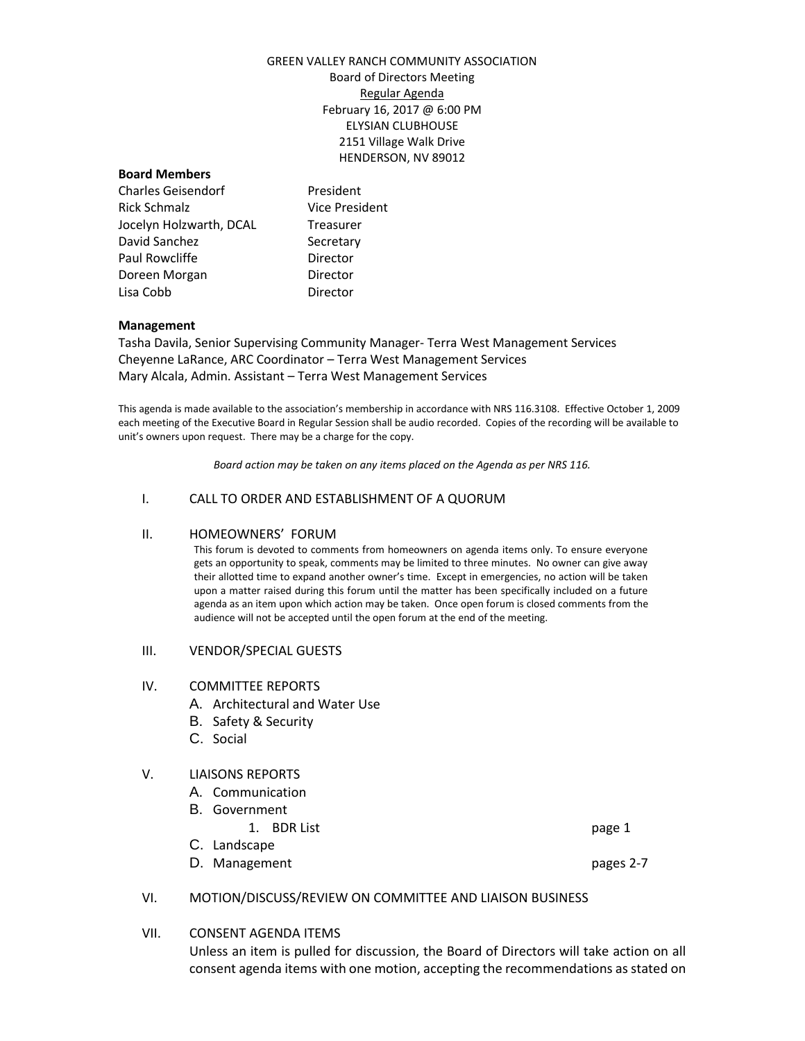## GREEN VALLEY RANCH COMMUNITY ASSOCIATION Board of Directors Meeting Regular Agenda February 16, 2017 @ 6:00 PM ELYSIAN CLUBHOUSE 2151 Village Walk Drive HENDERSON, NV 89012

#### **Board Members**

Charles Geisendorf **President** Rick Schmalz Vice President Jocelyn Holzwarth, DCAL Treasurer David Sanchez Secretary Paul Rowcliffe **Director** Doreen Morgan **Director** Lisa Cobb Director

## **Management**

Tasha Davila, Senior Supervising Community Manager- Terra West Management Services Cheyenne LaRance, ARC Coordinator – Terra West Management Services Mary Alcala, Admin. Assistant – Terra West Management Services

This agenda is made available to the association's membership in accordance with NRS 116.3108. Effective October 1, 2009 each meeting of the Executive Board in Regular Session shall be audio recorded. Copies of the recording will be available to unit's owners upon request. There may be a charge for the copy.

*Board action may be taken on any items placed on the Agenda as per NRS 116.*

## I. CALL TO ORDER AND ESTABLISHMENT OF A QUORUM

## II. HOMEOWNERS' FORUM

This forum is devoted to comments from homeowners on agenda items only. To ensure everyone gets an opportunity to speak, comments may be limited to three minutes. No owner can give away their allotted time to expand another owner's time. Except in emergencies, no action will be taken upon a matter raised during this forum until the matter has been specifically included on a future agenda as an item upon which action may be taken. Once open forum is closed comments from the audience will not be accepted until the open forum at the end of the meeting.

#### III. VENDOR/SPECIAL GUESTS

## IV. COMMITTEE REPORTS

- A. Architectural and Water Use
- B. Safety & Security
- C. Social

## V. LIAISONS REPORTS

- A. Communication
- B. Government
	- 1. BDR List page 1
- C. Landscape
- D. Management **pages 2-7**

- VI. MOTION/DISCUSS/REVIEW ON COMMITTEE AND LIAISON BUSINESS
- VII. CONSENT AGENDA ITEMS

Unless an item is pulled for discussion, the Board of Directors will take action on all consent agenda items with one motion, accepting the recommendations as stated on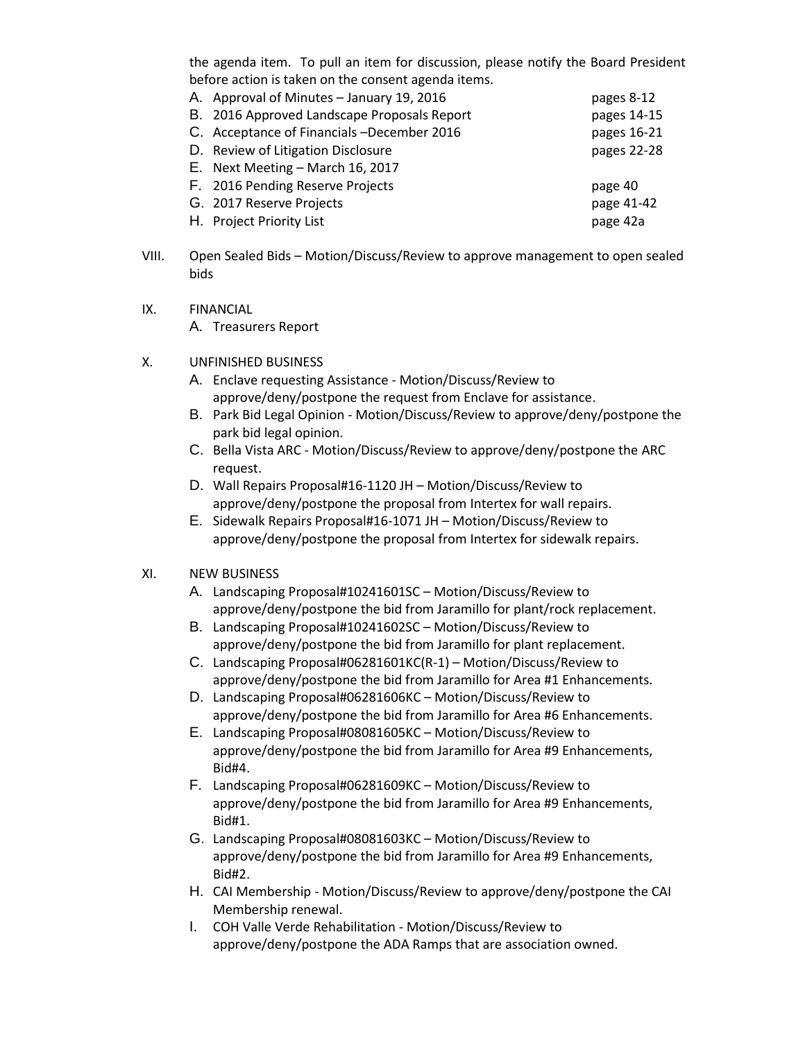the agenda item. To pull an item for discussion, please notify the Board President before action is taken on the consent agenda items.

| A. Approval of Minutes - January 19, 2016   | pages 8-12  |
|---------------------------------------------|-------------|
| B. 2016 Approved Landscape Proposals Report | pages 14-15 |
| C. Acceptance of Financials -December 2016  | pages 16-21 |
| D. Review of Litigation Disclosure          | pages 22-28 |
| E. Next Meeting - March 16, 2017            |             |
| F. 2016 Pending Reserve Projects            | page 40     |
| G. 2017 Reserve Projects                    | page 41-42  |
| H. Project Priority List                    | page 42a    |

- VIII. Open Sealed Bids Motion/Discuss/Review to approve management to open sealed bids
- IX. FINANCIAL
	- A. Treasurers Report
- X. UNFINISHED BUSINESS
	- A. Enclave requesting Assistance Motion/Discuss/Review to approve/deny/postpone the request from Enclave for assistance.
	- B. Park Bid Legal Opinion Motion/Discuss/Review to approve/deny/postpone the park bid legal opinion.
	- C. Bella Vista ARC Motion/Discuss/Review to approve/deny/postpone the ARC request.
	- D. Wall Repairs Proposal#16-1120 JH Motion/Discuss/Review to approve/deny/postpone the proposal from Intertex for wall repairs.
	- E. Sidewalk Repairs Proposal#16-1071 JH Motion/Discuss/Review to approve/deny/postpone the proposal from Intertex for sidewalk repairs.

# XI. NEW BUSINESS

- A. Landscaping Proposal#10241601SC Motion/Discuss/Review to approve/deny/postpone the bid from Jaramillo for plant/rock replacement.
- B. Landscaping Proposal#10241602SC Motion/Discuss/Review to approve/deny/postpone the bid from Jaramillo for plant replacement.
- C. Landscaping Proposal#06281601KC(R-1) Motion/Discuss/Review to approve/deny/postpone the bid from Jaramillo for Area #1 Enhancements.
- D. Landscaping Proposal#06281606KC Motion/Discuss/Review to approve/deny/postpone the bid from Jaramillo for Area #6 Enhancements.
- E. Landscaping Proposal#08081605KC Motion/Discuss/Review to approve/deny/postpone the bid from Jaramillo for Area #9 Enhancements, Bid#4.
- F. Landscaping Proposal#06281609KC Motion/Discuss/Review to approve/deny/postpone the bid from Jaramillo for Area #9 Enhancements, Bid#1.
- G. Landscaping Proposal#08081603KC Motion/Discuss/Review to approve/deny/postpone the bid from Jaramillo for Area #9 Enhancements, Bid#2.
- H. CAI Membership Motion/Discuss/Review to approve/deny/postpone the CAI Membership renewal.
- I. COH Valle Verde Rehabilitation Motion/Discuss/Review to approve/deny/postpone the ADA Ramps that are association owned.